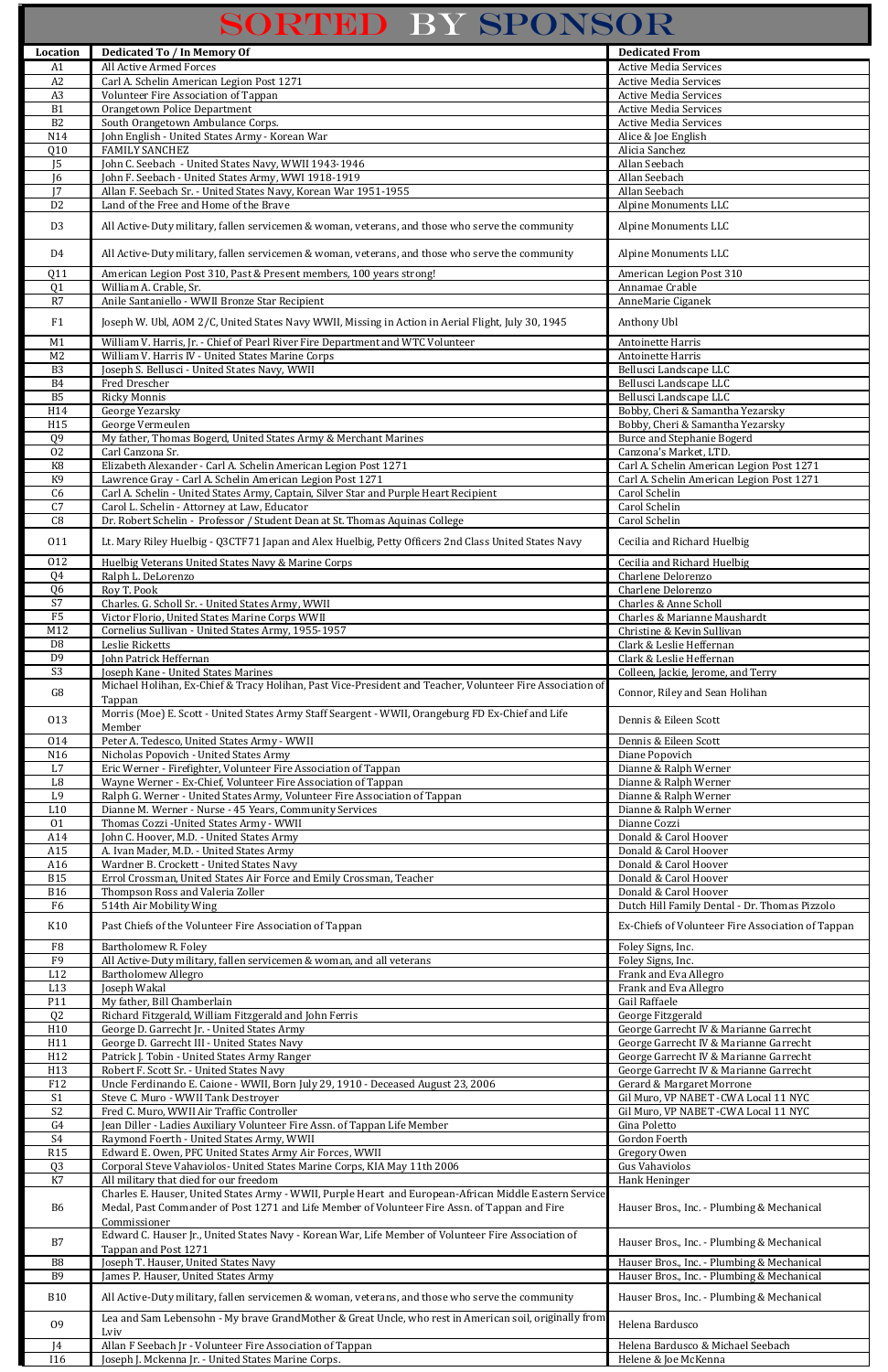## SORTED BY SPONSOR

| Location                          | Dedicated To / In Memory Of                                                                                                                                                                             | <b>Dedicated From</b>                                                                    |
|-----------------------------------|---------------------------------------------------------------------------------------------------------------------------------------------------------------------------------------------------------|------------------------------------------------------------------------------------------|
| A1                                | All Active Armed Forces                                                                                                                                                                                 | <b>Active Media Services</b>                                                             |
| A2                                | Carl A. Schelin American Legion Post 1271                                                                                                                                                               | <b>Active Media Services</b>                                                             |
| A3                                | Volunteer Fire Association of Tappan                                                                                                                                                                    | <b>Active Media Services</b>                                                             |
| B1                                | Orangetown Police Department                                                                                                                                                                            | <b>Active Media Services</b>                                                             |
| $\overline{B2}$                   | South Orangetown Ambulance Corps.                                                                                                                                                                       | <b>Active Media Services</b>                                                             |
| N14<br>Q10                        | John English - United States Army - Korean War<br><b>FAMILY SANCHEZ</b>                                                                                                                                 | Alice & Joe English<br>Alicia Sanchez                                                    |
| J <sub>5</sub>                    | John C. Seebach - United States Navy, WWII 1943-1946                                                                                                                                                    | Allan Seebach                                                                            |
| 6                                 | John F. Seebach - United States Army, WWI 1918-1919                                                                                                                                                     | Allan Seebach                                                                            |
| 17                                | Allan F. Seebach Sr. - United States Navy, Korean War 1951-1955                                                                                                                                         | Allan Seebach                                                                            |
| $\overline{D2}$                   | Land of the Free and Home of the Brave                                                                                                                                                                  | Alpine Monuments LLC                                                                     |
| D <sub>3</sub>                    | All Active-Duty military, fallen servicemen & woman, veterans, and those who serve the community                                                                                                        | Alpine Monuments LLC                                                                     |
|                                   |                                                                                                                                                                                                         |                                                                                          |
| D4                                | All Active-Duty military, fallen servicemen & woman, veterans, and those who serve the community                                                                                                        | Alpine Monuments LLC                                                                     |
| Q11                               | American Legion Post 310, Past & Present members, 100 years strong!                                                                                                                                     | American Legion Post 310                                                                 |
| Q <sub>1</sub>                    | William A. Crable, Sr.                                                                                                                                                                                  | Annamae Crable                                                                           |
| R7                                | Anile Santaniello - WWII Bronze Star Recipient                                                                                                                                                          | AnneMarie Ciganek                                                                        |
| F1                                | Joseph W. Ubl, AOM 2/C, United States Navy WWII, Missing in Action in Aerial Flight, July 30, 1945                                                                                                      | Anthony Ubl                                                                              |
| M1                                | William V. Harris, Jr. - Chief of Pearl River Fire Department and WTC Volunteer                                                                                                                         | Antoinette Harris                                                                        |
| M <sub>2</sub>                    | William V. Harris IV - United States Marine Corps                                                                                                                                                       | Antoinette Harris                                                                        |
| B <sub>3</sub>                    | Joseph S. Bellusci - United States Navy, WWII                                                                                                                                                           | Bellusci Landscape LLC                                                                   |
| <b>B4</b><br><b>B5</b>            | Fred Drescher<br><b>Ricky Monnis</b>                                                                                                                                                                    | Bellusci Landscape LLC<br>Bellusci Landscape LLC                                         |
| H14                               | George Yezarsky                                                                                                                                                                                         | Bobby, Cheri & Samantha Yezarsky                                                         |
| H15                               | George Vermeulen                                                                                                                                                                                        | Bobby, Cheri & Samantha Yezarsky                                                         |
| Q <sub>9</sub>                    | My father, Thomas Bogerd, United States Army & Merchant Marines                                                                                                                                         | <b>Burce and Stephanie Bogerd</b>                                                        |
| $\overline{02}$                   | Carl Canzona Sr.                                                                                                                                                                                        | Canzona's Market, LTD.                                                                   |
| K <sub>8</sub>                    | Elizabeth Alexander - Carl A. Schelin American Legion Post 1271                                                                                                                                         | Carl A. Schelin American Legion Post 1271                                                |
| K <sub>9</sub><br>C6              | Lawrence Gray - Carl A. Schelin American Legion Post 1271<br>Carl A. Schelin - United States Army, Captain, Silver Star and Purple Heart Recipient                                                      | Carl A. Schelin American Legion Post 1271<br>Carol Schelin                               |
| C7                                | Carol L. Schelin - Attorney at Law, Educator                                                                                                                                                            | Carol Schelin                                                                            |
| C8                                | Dr. Robert Schelin - Professor / Student Dean at St. Thomas Aquinas College                                                                                                                             | Carol Schelin                                                                            |
| 011                               | Lt. Mary Riley Huelbig - Q3CTF71 Japan and Alex Huelbig, Petty Officers 2nd Class United States Navy                                                                                                    | Cecilia and Richard Huelbig                                                              |
|                                   |                                                                                                                                                                                                         |                                                                                          |
| 012<br>Q4                         | Huelbig Veterans United States Navy & Marine Corps<br>Ralph L. DeLorenzo                                                                                                                                | Cecilia and Richard Huelbig<br>Charlene Delorenzo                                        |
| Q <sub>6</sub>                    | Roy T. Pook                                                                                                                                                                                             | Charlene Delorenzo                                                                       |
| S7                                | Charles. G. Scholl Sr. - United States Army, WWII                                                                                                                                                       | <b>Charles &amp; Anne Scholl</b>                                                         |
| F5                                | Victor Florio, United States Marine Corps WWII                                                                                                                                                          | Charles & Marianne Maushardt                                                             |
| M12                               | Cornelius Sullivan - United States Army, 1955-1957                                                                                                                                                      | Christine & Kevin Sullivan                                                               |
| D <sub>8</sub>                    | Leslie Ricketts                                                                                                                                                                                         | Clark & Leslie Heffernan                                                                 |
| D <sub>9</sub><br>$\overline{S3}$ | John Patrick Heffernan<br>Joseph Kane - United States Marines                                                                                                                                           | Clark & Leslie Heffernan<br>Colleen, Jackie, Jerome, and Terry                           |
|                                   | Michael Holihan, Ex-Chief & Tracy Holihan, Past Vice-President and Teacher, Volunteer Fire Association of                                                                                               |                                                                                          |
| G8                                | Tappan                                                                                                                                                                                                  | Connor, Riley and Sean Holihan                                                           |
| 013                               | Morris (Moe) E. Scott - United States Army Staff Seargent - WWII, Orangeburg FD Ex-Chief and Life                                                                                                       | Dennis & Eileen Scott                                                                    |
|                                   | Member                                                                                                                                                                                                  |                                                                                          |
| 014<br>N <sub>16</sub>            | Peter A. Tedesco, United States Army - WWII<br>Nicholas Popovich - United States Army                                                                                                                   | Dennis & Eileen Scott<br>Diane Popovich                                                  |
| L7                                | Eric Werner - Firefighter, Volunteer Fire Association of Tappan                                                                                                                                         | Dianne & Ralph Werner                                                                    |
| L8                                | Wayne Werner - Ex-Chief, Volunteer Fire Association of Tappan                                                                                                                                           | Dianne & Ralph Werner                                                                    |
| L <sub>9</sub>                    | Ralph G. Werner - United States Army, Volunteer Fire Association of Tappan                                                                                                                              | Dianne & Ralph Werner                                                                    |
| L10                               | Dianne M. Werner - Nurse - 45 Years, Community Services                                                                                                                                                 | Dianne & Ralph Werner                                                                    |
| 01<br>A14                         | Thomas Cozzi - United States Army - WWII<br>John C. Hoover, M.D. - United States Army                                                                                                                   | Dianne Cozzi<br>Donald & Carol Hoover                                                    |
| A15                               | A. Ivan Mader, M.D. - United States Army                                                                                                                                                                | Donald & Carol Hoover                                                                    |
| A16                               | Wardner B. Crockett - United States Navy                                                                                                                                                                | Donald & Carol Hoover                                                                    |
| <b>B15</b>                        | Errol Crossman, United States Air Force and Emily Crossman, Teacher                                                                                                                                     | Donald & Carol Hoover                                                                    |
| <b>B16</b>                        | Thompson Ross and Valeria Zoller                                                                                                                                                                        | Donald & Carol Hoover                                                                    |
| F <sub>6</sub>                    | 514th Air Mobility Wing                                                                                                                                                                                 | Dutch Hill Family Dental - Dr. Thomas Pizzolo                                            |
| K10                               | Past Chiefs of the Volunteer Fire Association of Tappan                                                                                                                                                 | Ex-Chiefs of Volunteer Fire Association of Tappan                                        |
| F <sub>8</sub>                    | Bartholomew R. Foley                                                                                                                                                                                    | Foley Signs, Inc.                                                                        |
| F9                                | All Active-Duty military, fallen servicemen & woman, and all veterans                                                                                                                                   | Foley Signs, Inc.                                                                        |
| L12                               | <b>Bartholomew Allegro</b>                                                                                                                                                                              | Frank and Eva Allegro                                                                    |
| L13<br>P11                        | Joseph Wakal<br>My father, Bill Chamberlain                                                                                                                                                             | Frank and Eva Allegro<br>Gail Raffaele                                                   |
| Q2                                | Richard Fitzgerald, William Fitzgerald and John Ferris                                                                                                                                                  | George Fitzgerald                                                                        |
| H10                               | George D. Garrecht Jr. - United States Army                                                                                                                                                             | George Garrecht IV & Marianne Garrecht                                                   |
| H11                               | George D. Garrecht III - United States Navy                                                                                                                                                             | George Garrecht IV & Marianne Garrecht                                                   |
| H12                               | Patrick J. Tobin - United States Army Ranger                                                                                                                                                            | George Garrecht IV & Marianne Garrecht                                                   |
| H13<br>F12                        | Robert F. Scott Sr. - United States Navy<br>Uncle Ferdinando E. Caione - WWII, Born July 29, 1910 - Deceased August 23, 2006                                                                            | George Garrecht IV & Marianne Garrecht<br>Gerard & Margaret Morrone                      |
| S <sub>1</sub>                    | Steve C. Muro - WWII Tank Destroyer                                                                                                                                                                     | Gil Muro, VP NABET - CWA Local 11 NYC                                                    |
| $\overline{S2}$                   | Fred C. Muro, WWII Air Traffic Controller                                                                                                                                                               | Gil Muro, VP NABET - CWA Local 11 NYC                                                    |
| G <sub>4</sub>                    | Jean Diller - Ladies Auxiliary Volunteer Fire Assn. of Tappan Life Member                                                                                                                               | Gina Poletto                                                                             |
| S <sub>4</sub>                    | Raymond Foerth - United States Army, WWII                                                                                                                                                               | Gordon Foerth                                                                            |
| <b>R15</b><br>Q <sub>3</sub>      | Edward E. Owen, PFC United States Army Air Forces, WWII<br>Corporal Steve Vahaviolos- United States Marine Corps, KIA May 11th 2006                                                                     | Gregory Owen<br>Gus Vahaviolos                                                           |
| K7                                | All military that died for our freedom                                                                                                                                                                  | Hank Heninger                                                                            |
| <b>B6</b>                         | Charles E. Hauser, United States Army - WWII, Purple Heart and European-African Middle Eastern Service<br>Medal, Past Commander of Post 1271 and Life Member of Volunteer Fire Assn. of Tappan and Fire | Hauser Bros., Inc. - Plumbing & Mechanical                                               |
|                                   | Commissioner<br>Edward C. Hauser Jr., United States Navy - Korean War, Life Member of Volunteer Fire Association of                                                                                     |                                                                                          |
| B7<br>B <sub>8</sub>              | Tappan and Post 1271<br>Joseph T. Hauser, United States Navy                                                                                                                                            | Hauser Bros., Inc. - Plumbing & Mechanical<br>Hauser Bros., Inc. - Plumbing & Mechanical |
| <b>B9</b>                         | James P. Hauser, United States Army                                                                                                                                                                     | Hauser Bros., Inc. - Plumbing & Mechanical                                               |
| <b>B10</b>                        | All Active-Duty military, fallen servicemen & woman, veterans, and those who serve the community                                                                                                        | Hauser Bros., Inc. - Plumbing & Mechanical                                               |
| 09                                | Lea and Sam Lebensohn - My brave GrandMother & Great Uncle, who rest in American soil, originally from<br>Lviv                                                                                          | Helena Bardusco                                                                          |
| J4<br><b>I16</b>                  | Allan F Seebach Jr - Volunteer Fire Association of Tappan<br>Joseph J. Mckenna Jr. - United States Marine Corps.                                                                                        | Helena Bardusco & Michael Seebach<br>Helene & Joe McKenna                                |
|                                   |                                                                                                                                                                                                         |                                                                                          |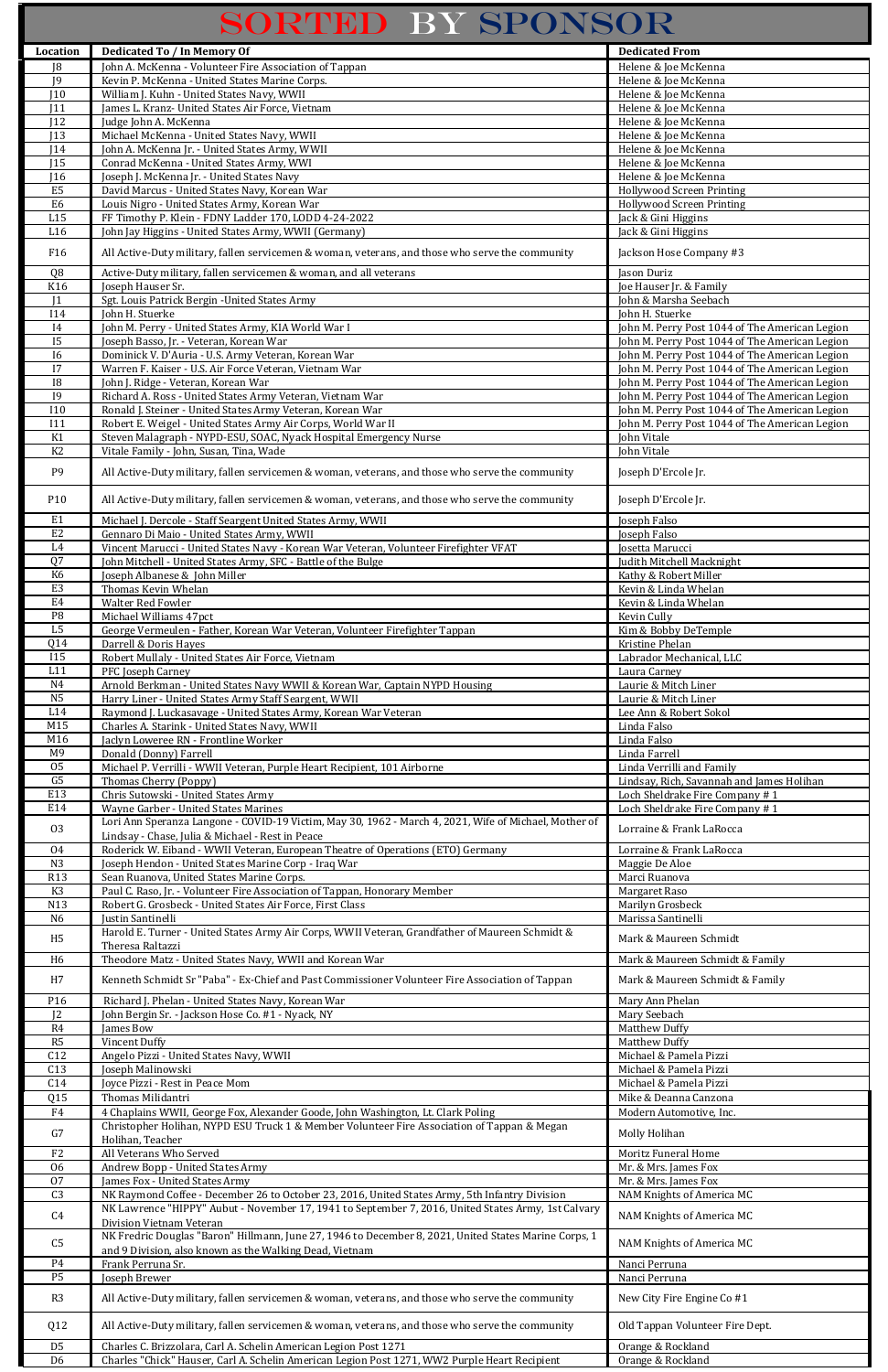## SORTED BY SPONSOR

| Location                           | <b>Dedicated To / In Memory Of</b>                                                                                                   | <b>Dedicated From</b>                                                                            |
|------------------------------------|--------------------------------------------------------------------------------------------------------------------------------------|--------------------------------------------------------------------------------------------------|
| J8                                 | John A. McKenna - Volunteer Fire Association of Tappan                                                                               | Helene & Joe McKenna                                                                             |
| J9                                 | Kevin P. McKenna - United States Marine Corps.                                                                                       | Helene & Joe McKenna                                                                             |
| 110                                | William J. Kuhn - United States Navy, WWII                                                                                           | Helene & Joe McKenna                                                                             |
| J11                                | James L. Kranz- United States Air Force, Vietnam                                                                                     | Helene & Joe McKenna                                                                             |
| 12<br>J13                          | Judge John A. McKenna<br>Michael McKenna - United States Navy, WWII                                                                  | Helene & Joe McKenna<br>Helene & Joe McKenna                                                     |
| J14                                | John A. McKenna Jr. - United States Army, WWII                                                                                       | Helene & Joe McKenna                                                                             |
| J15                                | Conrad McKenna - United States Army, WWI                                                                                             | Helene & Joe McKenna                                                                             |
| J16                                | Joseph J. McKenna Jr. - United States Navy                                                                                           | Helene & Joe McKenna                                                                             |
| E <sub>5</sub>                     | David Marcus - United States Navy, Korean War                                                                                        | <b>Hollywood Screen Printing</b>                                                                 |
| E6                                 | Louis Nigro - United States Army, Korean War                                                                                         | <b>Hollywood Screen Printing</b>                                                                 |
| L15                                | FF Timothy P. Klein - FDNY Ladder 170, LODD 4-24-2022                                                                                | Jack & Gini Higgins                                                                              |
| L16                                | John Jay Higgins - United States Army, WWII (Germany)                                                                                | Jack & Gini Higgins                                                                              |
| F16                                | All Active-Duty military, fallen servicemen & woman, veterans, and those who serve the community                                     | Jackson Hose Company #3                                                                          |
| Q <sub>8</sub>                     | Active-Duty military, fallen servicemen & woman, and all veterans                                                                    | <b>Jason Duriz</b>                                                                               |
| K16                                | Joseph Hauser Sr.                                                                                                                    | Joe Hauser Jr. & Family                                                                          |
| 1                                  | Sgt. Louis Patrick Bergin - United States Army                                                                                       | John & Marsha Seebach                                                                            |
| <b>I14</b>                         | John H. Stuerke                                                                                                                      | John H. Stuerke                                                                                  |
| I4                                 | John M. Perry - United States Army, KIA World War I                                                                                  | John M. Perry Post 1044 of The American Legion                                                   |
| <b>I5</b>                          | Joseph Basso, Jr. - Veteran, Korean War                                                                                              | John M. Perry Post 1044 of The American Legion                                                   |
| $\overline{16}$<br>$\overline{17}$ | Dominick V. D'Auria - U.S. Army Veteran, Korean War<br>Warren F. Kaiser - U.S. Air Force Veteran, Vietnam War                        | John M. Perry Post 1044 of The American Legion<br>John M. Perry Post 1044 of The American Legion |
| $\overline{18}$                    | John J. Ridge - Veteran, Korean War                                                                                                  | John M. Perry Post 1044 of The American Legion                                                   |
| $\overline{19}$                    | Richard A. Ross - United States Army Veteran, Vietnam War                                                                            | John M. Perry Post 1044 of The American Legion                                                   |
| $\overline{110}$                   | Ronald J. Steiner - United States Army Veteran, Korean War                                                                           | John M. Perry Post 1044 of The American Legion                                                   |
| I11                                | Robert E. Weigel - United States Army Air Corps, World War II                                                                        | John M. Perry Post 1044 of The American Legion                                                   |
| K1                                 | Steven Malagraph - NYPD-ESU, SOAC, Nyack Hospital Emergency Nurse                                                                    | John Vitale                                                                                      |
| K <sub>2</sub>                     | Vitale Family - John, Susan, Tina, Wade                                                                                              | John Vitale                                                                                      |
| P <sub>9</sub>                     | All Active-Duty military, fallen servicemen & woman, veterans, and those who serve the community                                     | Joseph D'Ercole Jr.                                                                              |
| P10                                | All Active-Duty military, fallen servicemen & woman, veterans, and those who serve the community                                     | Joseph D'Ercole Jr.                                                                              |
| E <sub>1</sub>                     | Michael J. Dercole - Staff Seargent United States Army, WWII                                                                         | Joseph Falso                                                                                     |
| E2                                 | Gennaro Di Maio - United States Army, WWII                                                                                           | Joseph Falso                                                                                     |
| L4                                 | Vincent Marucci - United States Navy - Korean War Veteran, Volunteer Firefighter VFAT                                                | Josetta Marucci                                                                                  |
| Q7                                 | John Mitchell - United States Army, SFC - Battle of the Bulge                                                                        | Judith Mitchell Macknight                                                                        |
| K <sub>6</sub><br>E <sub>3</sub>   | Joseph Albanese & John Miller<br>Thomas Kevin Whelan                                                                                 | Kathy & Robert Miller<br>Kevin & Linda Whelan                                                    |
| E <sub>4</sub>                     | Walter Red Fowler                                                                                                                    | Kevin & Linda Whelan                                                                             |
| $\overline{P8}$                    | Michael Williams 47pct                                                                                                               | Kevin Cully                                                                                      |
| L <sub>5</sub>                     | George Vermeulen - Father, Korean War Veteran, Volunteer Firefighter Tappan                                                          | Kim & Bobby DeTemple                                                                             |
| Q14                                | Darrell & Doris Hayes                                                                                                                | Kristine Phelan                                                                                  |
| <b>I15</b>                         | Robert Mullaly - United States Air Force, Vietnam                                                                                    | Labrador Mechanical, LLC                                                                         |
| L11                                | PFC Joseph Carney                                                                                                                    | Laura Carney                                                                                     |
| N4<br>N <sub>5</sub>               | Arnold Berkman - United States Navy WWII & Korean War, Captain NYPD Housing<br>Harry Liner - United States Army Staff Seargent, WWII | Laurie & Mitch Liner<br>Laurie & Mitch Liner                                                     |
| L14                                | Raymond J. Luckasavage - United States Army, Korean War Veteran                                                                      | Lee Ann & Robert Sokol                                                                           |
| M15                                | Charles A. Starink - United States Navy, WWII                                                                                        | Linda Falso                                                                                      |
| M16                                | Jaclyn Loweree RN - Frontline Worker                                                                                                 | Linda Falso                                                                                      |
| M <sub>9</sub>                     | Donald (Donny) Farrell                                                                                                               | Linda Farrell                                                                                    |
| 05                                 | Michael P. Verrilli - WWII Veteran, Purple Heart Recipient, 101 Airborne                                                             | Linda Verrilli and Family                                                                        |
| G <sub>5</sub>                     | Thomas Cherry (Poppy)                                                                                                                | Lindsay, Rich, Savannah and James Holihan                                                        |
| E13<br>E14                         | Chris Sutowski - United States Army<br>Wayne Garber - United States Marines                                                          | Loch Sheldrake Fire Company #1<br>Loch Sheldrake Fire Company #1                                 |
|                                    | Lori Ann Speranza Langone - COVID-19 Victim, May 30, 1962 - March 4, 2021, Wife of Michael, Mother of                                |                                                                                                  |
| 03                                 | Lindsay - Chase, Julia & Michael - Rest in Peace                                                                                     | Lorraine & Frank LaRocca                                                                         |
| 04                                 | Roderick W. Eiband - WWII Veteran, European Theatre of Operations (ETO) Germany                                                      | Lorraine & Frank LaRocca                                                                         |
| N3                                 | Joseph Hendon - United States Marine Corp - Iraq War                                                                                 | Maggie De Aloe                                                                                   |
| <b>R13</b>                         | Sean Ruanova, United States Marine Corps.                                                                                            | Marci Ruanova                                                                                    |
| K3                                 | Paul C. Raso, Jr. - Volunteer Fire Association of Tappan, Honorary Member                                                            | Margaret Raso                                                                                    |
| N13<br>N <sub>6</sub>              | Robert G. Grosbeck - United States Air Force, First Class                                                                            | Marilyn Grosbeck<br>Marissa Santinelli                                                           |
|                                    | Justin Santinelli<br>Harold E. Turner - United States Army Air Corps, WWII Veteran, Grandfather of Maureen Schmidt &                 |                                                                                                  |
| H <sub>5</sub>                     | Theresa Raltazzi                                                                                                                     | Mark & Maureen Schmidt                                                                           |
| H <sub>6</sub>                     | Theodore Matz - United States Navy, WWII and Korean War                                                                              | Mark & Maureen Schmidt & Family                                                                  |
| H7                                 | Kenneth Schmidt Sr "Paba" - Ex-Chief and Past Commissioner Volunteer Fire Association of Tappan                                      | Mark & Maureen Schmidt & Family                                                                  |
| P16                                | Richard J. Phelan - United States Navy, Korean War                                                                                   | Mary Ann Phelan                                                                                  |
| J <sub>2</sub>                     | John Bergin Sr. - Jackson Hose Co. #1 - Nyack, NY                                                                                    | Mary Seebach                                                                                     |
| R4                                 | James Bow                                                                                                                            | Matthew Duffy                                                                                    |
| R5<br>C12                          | Vincent Duffy                                                                                                                        | <b>Matthew Duffy</b><br>Michael & Pamela Pizzi                                                   |
| C13                                | Angelo Pizzi - United States Navy, WWII<br>Joseph Malinowski                                                                         | Michael & Pamela Pizzi                                                                           |
| C14                                | Joyce Pizzi - Rest in Peace Mom                                                                                                      | Michael & Pamela Pizzi                                                                           |
| Q15                                | Thomas Milidantri                                                                                                                    | Mike & Deanna Canzona                                                                            |
| F4                                 | 4 Chaplains WWII, George Fox, Alexander Goode, John Washington, Lt. Clark Poling                                                     | Modern Automotive, Inc.                                                                          |
| G7                                 | Christopher Holihan, NYPD ESU Truck 1 & Member Volunteer Fire Association of Tappan & Megan                                          | Molly Holihan                                                                                    |
| F <sub>2</sub>                     | Holihan, Teacher<br>All Veterans Who Served                                                                                          | <b>Moritz Funeral Home</b>                                                                       |
| 06                                 | Andrew Bopp - United States Army                                                                                                     | Mr. & Mrs. James Fox                                                                             |
| 07                                 | James Fox - United States Army                                                                                                       | Mr. & Mrs. James Fox                                                                             |
| C <sub>3</sub>                     | NK Raymond Coffee - December 26 to October 23, 2016, United States Army, 5th Infantry Division                                       | NAM Knights of America MC                                                                        |
| C <sub>4</sub>                     | NK Lawrence "HIPPY" Aubut - November 17, 1941 to September 7, 2016, United States Army, 1st Calvary                                  | NAM Knights of America MC                                                                        |
| C <sub>5</sub>                     | Division Vietnam Veteran<br>NK Fredric Douglas "Baron" Hillmann, June 27, 1946 to December 8, 2021, United States Marine Corps, 1    | NAM Knights of America MC                                                                        |
| P <sub>4</sub>                     | and 9 Division, also known as the Walking Dead, Vietnam<br>Frank Perruna Sr.                                                         | Nanci Perruna                                                                                    |
| P <sub>5</sub>                     | Joseph Brewer                                                                                                                        | Nanci Perruna                                                                                    |
| R3                                 | All Active-Duty military, fallen servicemen & woman, veterans, and those who serve the community                                     | New City Fire Engine Co #1                                                                       |
| Q12                                | All Active-Duty military, fallen servicemen & woman, veterans, and those who serve the community                                     | Old Tappan Volunteer Fire Dept.                                                                  |
| D <sub>5</sub>                     | Charles C. Brizzolara, Carl A. Schelin American Legion Post 1271                                                                     | Orange & Rockland                                                                                |
| D <sub>6</sub>                     | Charles "Chick" Hauser, Carl A. Schelin American Legion Post 1271, WW2 Purple Heart Recipient                                        | Orange & Rockland                                                                                |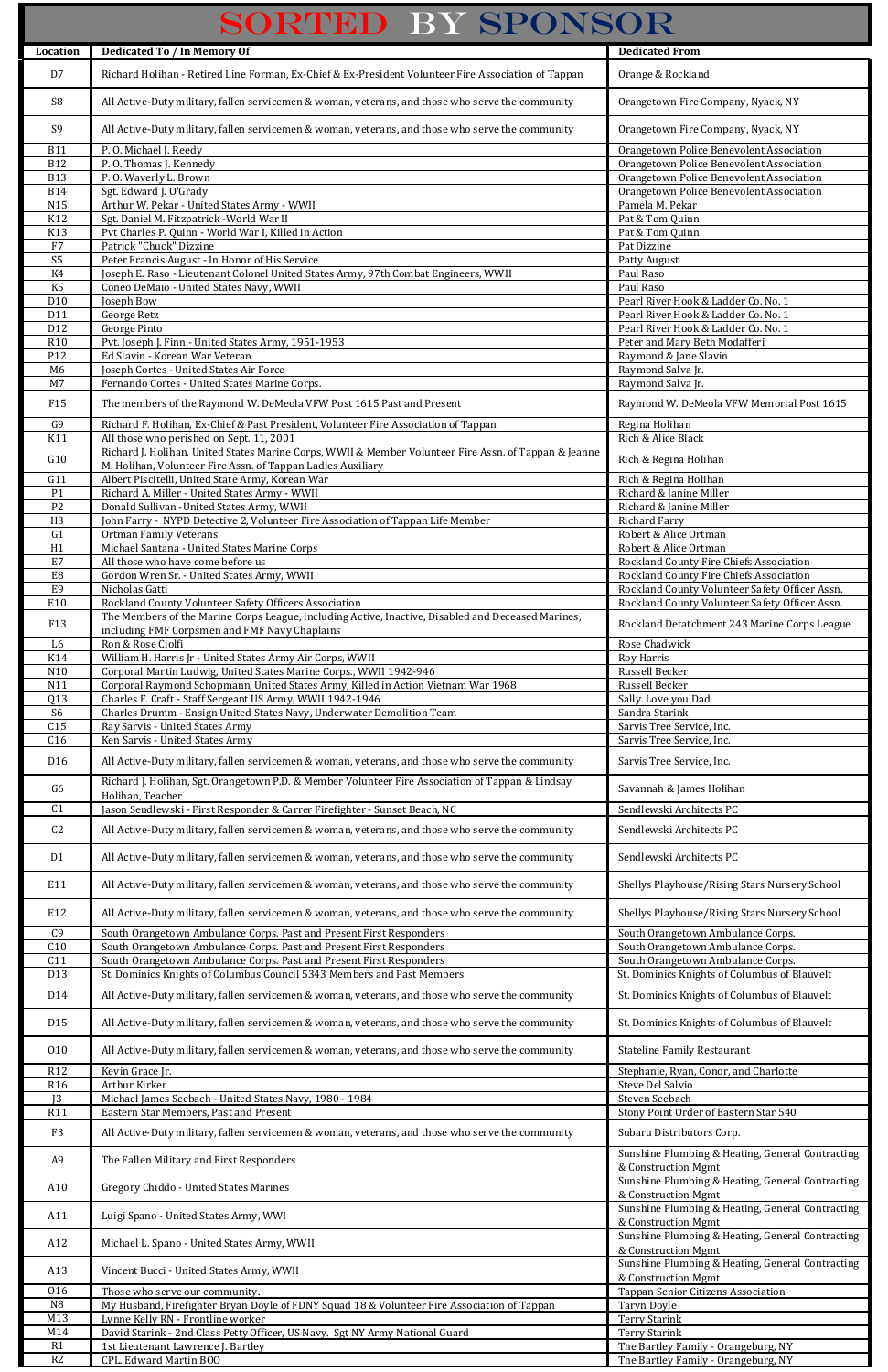| SORTED BY SPONSOR                |                                                                                                                                                     |                                                                                      |
|----------------------------------|-----------------------------------------------------------------------------------------------------------------------------------------------------|--------------------------------------------------------------------------------------|
| Location                         | <b>Dedicated To / In Memory Of</b>                                                                                                                  | <b>Dedicated From</b>                                                                |
| D7                               | Richard Holihan - Retired Line Forman, Ex-Chief & Ex-President Volunteer Fire Association of Tappan                                                 | Orange & Rockland                                                                    |
| S <sub>8</sub>                   | All Active-Duty military, fallen servicemen & woman, veterans, and those who serve the community                                                    | Orangetown Fire Company, Nyack, NY                                                   |
| S <sub>9</sub>                   | All Active-Duty military, fallen servicemen & woman, veterans, and those who serve the community                                                    | Orangetown Fire Company, Nyack, NY                                                   |
| <b>B11</b>                       | P.O. Michael J. Reedy                                                                                                                               | Orangetown Police Benevolent Association                                             |
| <b>B12</b>                       | P.O. Thomas J. Kennedy                                                                                                                              | Orangetown Police Benevolent Association                                             |
| <b>B13</b><br><b>B14</b>         | P.O. Waverly L. Brown<br>Sgt. Edward J. O'Grady                                                                                                     | Orangetown Police Benevolent Association<br>Orangetown Police Benevolent Association |
| N15                              | Arthur W. Pekar - United States Army - WWII                                                                                                         | Pamela M. Pekar                                                                      |
| K12                              | Sgt. Daniel M. Fitzpatrick - World War II                                                                                                           | Pat & Tom Quinn                                                                      |
| K13                              | Pvt Charles P. Quinn - World War I, Killed in Action                                                                                                | Pat & Tom Quinn                                                                      |
| F7                               | Patrick "Chuck" Dizzine                                                                                                                             | Pat Dizzine                                                                          |
| S <sub>5</sub>                   | Peter Francis August - In Honor of His Service                                                                                                      | Patty August                                                                         |
| K4                               | Joseph E. Raso - Lieutenant Colonel United States Army, 97th Combat Engineers, WWII                                                                 | Paul Raso                                                                            |
| K <sub>5</sub>                   | Coneo DeMaio - United States Navy, WWII                                                                                                             | Paul Raso                                                                            |
| D10                              | Joseph Bow                                                                                                                                          | Pearl River Hook & Ladder Co. No. 1                                                  |
| D11                              | George Retz                                                                                                                                         | Pearl River Hook & Ladder Co. No. 1                                                  |
| D12                              | George Pinto                                                                                                                                        | Pearl River Hook & Ladder Co. No. 1                                                  |
| R <sub>10</sub>                  | Pvt. Joseph J. Finn - United States Army, 1951-1953                                                                                                 | Peter and Mary Beth Modafferi                                                        |
| P12<br>M6                        | Ed Slavin - Korean War Veteran<br>Joseph Cortes - United States Air Force                                                                           | Raymond & Jane Slavin<br>Raymond Salva Jr.                                           |
| M7                               | Fernando Cortes - United States Marine Corps.                                                                                                       | Raymond Salva Jr.                                                                    |
| F <sub>15</sub>                  | The members of the Raymond W. DeMeola VFW Post 1615 Past and Present                                                                                | Raymond W. DeMeola VFW Memorial Post 1615                                            |
| G9                               | Richard F. Holihan, Ex-Chief & Past President, Volunteer Fire Association of Tappan                                                                 | Regina Holihan                                                                       |
| K11                              | All those who perished on Sept. 11, 2001                                                                                                            | Rich & Alice Black                                                                   |
|                                  | Richard J. Holihan, United States Marine Corps, WWII & Member Volunteer Fire Assn. of Tappan & Jeanne                                               |                                                                                      |
| G10                              | M. Holihan, Volunteer Fire Assn. of Tappan Ladies Auxiliary                                                                                         | Rich & Regina Holihan                                                                |
| G11                              | Albert Piscitelli, United State Army, Korean War                                                                                                    | Rich & Regina Holihan                                                                |
| P <sub>1</sub>                   | Richard A. Miller - United States Army - WWII                                                                                                       | Richard & Janine Miller                                                              |
| P <sub>2</sub>                   | Donald Sullivan - United States Army, WWII                                                                                                          | Richard & Janine Miller                                                              |
| H <sub>3</sub><br>G <sub>1</sub> | John Farry - NYPD Detective 2, Volunteer Fire Association of Tappan Life Member<br><b>Ortman Family Veterans</b>                                    | <b>Richard Farry</b><br>Robert & Alice Ortman                                        |
| H1                               | Michael Santana - United States Marine Corps                                                                                                        | Robert & Alice Ortman                                                                |
| E7                               | All those who have come before us                                                                                                                   | Rockland County Fire Chiefs Association                                              |
| E8                               | Gordon Wren Sr. - United States Army, WWII                                                                                                          | Rockland County Fire Chiefs Association                                              |
| E <sub>9</sub>                   | Nicholas Gatti                                                                                                                                      | Rockland County Volunteer Safety Officer Assn.                                       |
| E10                              | Rockland County Volunteer Safety Officers Association                                                                                               | Rockland County Volunteer Safety Officer Assn.                                       |
| F13                              | The Members of the Marine Corps League, including Active, Inactive, Disabled and Deceased Marines,<br>including FMF Corpsmen and FMF Navy Chaplains | Rockland Detatchment 243 Marine Corps League                                         |
| L6                               | Ron & Rose Ciolfi                                                                                                                                   | Rose Chadwick                                                                        |
| K14                              | William H. Harris Jr - United States Army Air Corps, WWII                                                                                           | <b>Roy Harris</b>                                                                    |
| N10                              | Corporal Martin Ludwig, United States Marine Corps., WWII 1942-946                                                                                  | Russell Becker                                                                       |
| N11<br>Q13                       | Corporal Raymond Schopmann, United States Army, Killed in Action Vietnam War 1968<br>Charles F. Craft - Staff Sergeant US Army, WWII 1942-1946      | Russell Becker                                                                       |
| S <sub>6</sub>                   | Charles Drumm - Ensign United States Navy, Underwater Demolition Team                                                                               | Sally. Love you Dad<br>Sandra Starink                                                |
| C15                              | Ray Sarvis - United States Army                                                                                                                     | Sarvis Tree Service, Inc.                                                            |
| C16                              | Ken Sarvis - United States Army                                                                                                                     | Sarvis Tree Service, Inc.                                                            |
| D <sub>16</sub>                  | All Active-Duty military, fallen servicemen & woman, veterans, and those who serve the community                                                    | Sarvis Tree Service, Inc.                                                            |
| G <sub>6</sub>                   | Richard J. Holihan, Sgt. Orangetown P.D. & Member Volunteer Fire Association of Tappan & Lindsay<br>Holihan, Teacher                                | Savannah & James Holihan                                                             |
| C <sub>1</sub>                   | Jason Sendlewski - First Responder & Carrer Firefighter - Sunset Beach, NC                                                                          | Sendlewski Architects PC                                                             |
| C <sub>2</sub>                   | All Active-Duty military, fallen servicemen & woman, veterans, and those who serve the community                                                    | Sendlewski Architects PC                                                             |
| D <sub>1</sub>                   | All Active-Duty military, fallen servicemen & woman, veterans, and those who serve the community                                                    | Sendlewski Architects PC                                                             |
| E11                              | All Active-Duty military, fallen servicemen & woman, veterans, and those who serve the community                                                    | Shellys Playhouse/Rising Stars Nursery School                                        |
| E12                              | All Active-Duty military, fallen servicemen & woman, veterans, and those who serve the community                                                    | Shellys Playhouse/Rising Stars Nursery School                                        |
| C <sub>9</sub>                   | South Orangetown Ambulance Corps. Past and Present First Responders                                                                                 | South Orangetown Ambulance Corps.                                                    |
| C10                              | South Orangetown Ambulance Corps. Past and Present First Responders                                                                                 | South Orangetown Ambulance Corps.                                                    |
| C11<br>D13                       | South Orangetown Ambulance Corps. Past and Present First Responders                                                                                 | South Orangetown Ambulance Corps.                                                    |
|                                  | St. Dominics Knights of Columbus Council 5343 Members and Past Members                                                                              | St. Dominics Knights of Columbus of Blauvelt                                         |
| D14                              | All Active-Duty military, fallen servicemen & woman, veterans, and those who serve the community                                                    | St. Dominics Knights of Columbus of Blauvelt                                         |

| D <sub>15</sub> | All Active-Duty military, fallen servicemen & woman, veterans, and those who serve the community | St. Dominics Knights of Columbus of Blauvelt     |
|-----------------|--------------------------------------------------------------------------------------------------|--------------------------------------------------|
| 010             | All Active-Duty military, fallen servicemen & woman, veterans, and those who serve the community | <b>Stateline Family Restaurant</b>               |
| R <sub>12</sub> | Kevin Grace Jr.                                                                                  | Stephanie, Ryan, Conor, and Charlotte            |
| R <sub>16</sub> | Arthur Kirker                                                                                    | Steve Del Salvio                                 |
| J <sub>3</sub>  | Michael James Seebach - United States Navy, 1980 - 1984                                          | Steven Seebach                                   |
| R <sub>11</sub> | Eastern Star Members, Past and Present                                                           | Stony Point Order of Eastern Star 540            |
| F <sub>3</sub>  | All Active-Duty military, fallen servicemen & woman, veterans, and those who serve the community | Subaru Distributors Corp.                        |
| A <sub>9</sub>  | The Fallen Military and First Responders                                                         | Sunshine Plumbing & Heating, General Contracting |
|                 |                                                                                                  | & Construction Mgmt                              |
| A10             | <b>Gregory Chiddo - United States Marines</b>                                                    | Sunshine Plumbing & Heating, General Contracting |
|                 |                                                                                                  | & Construction Mgmt                              |
| A11             | Luigi Spano - United States Army, WWI                                                            | Sunshine Plumbing & Heating, General Contracting |
|                 |                                                                                                  | & Construction Mgmt                              |
| A12             | Michael L. Spano - United States Army, WWII                                                      | Sunshine Plumbing & Heating, General Contracting |
|                 |                                                                                                  | & Construction Mgmt                              |
| A13             | Vincent Bucci - United States Army, WWII                                                         | Sunshine Plumbing & Heating, General Contracting |
|                 |                                                                                                  | & Construction Mgmt                              |
| 016             | Those who serve our community.                                                                   | <b>Tappan Senior Citizens Association</b>        |
| N <sub>8</sub>  | My Husband, Firefighter Bryan Doyle of FDNY Squad 18 & Volunteer Fire Association of Tappan      | Taryn Doyle                                      |
| M13             | Lynne Kelly RN - Frontline worker                                                                | <b>Terry Starink</b>                             |
| M14             | David Starink - 2nd Class Petty Officer, US Navy. Sgt NY Army National Guard                     | <b>Terry Starink</b>                             |
| R1              | 1st Lieutenant Lawrence J. Bartley                                                               | The Bartley Family - Orangeburg, NY              |
| R <sub>2</sub>  | CPL. Edward Martin BOO                                                                           | The Bartley Family - Orangeburg, NY              |